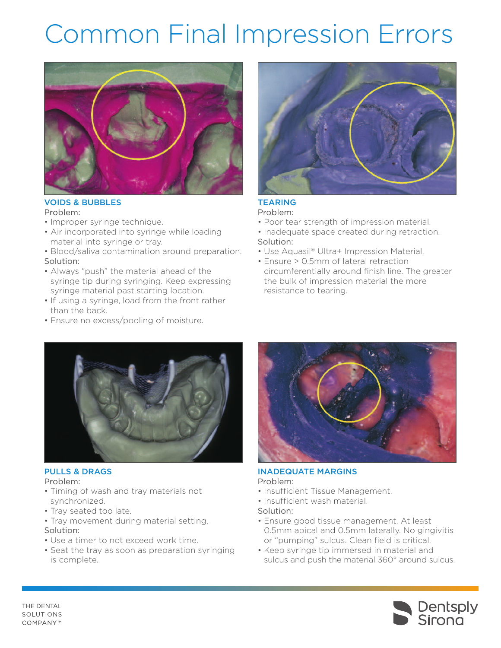# Common Final Impression Errors



### **VOIDS & BUBBLES**

Problem:

- Improper syringe technique.
- Air incorporated into syringe while loading material into syringe or tray.
- Blood/saliva contamination around preparation. Solution:
- Always "push" the material ahead of the syringe tip during syringing. Keep expressing syringe material past starting location.
- If using a syringe, load from the front rather than the back.
- Ensure no excess/pooling of moisture.



## **TEARING**

- Problem:
- Poor tear strength of impression material.
- Inadequate space created during retraction. Solution:
- Use Aquasil® Ultra+ Impression Material.
- Ensure > 0.5mm of lateral retraction circumferentially around finish line. The greater the bulk of impression material the more resistance to tearing.



#### **PULLS & DRAGS**

Problem:

- Timing of wash and tray materials not synchronized.
- Tray seated too late.
- Tray movement during material setting. Solution:
- Use a timer to not exceed work time.
- Seat the tray as soon as preparation syringing is complete.



#### **INADEQUATE MARGINS** Problem:

- Insufficient Tissue Management.
- Insufficient wash material.
- Solution:
- Ensure good tissue management. At least 0.5mm apical and 0.5mm laterally. No gingivitis or "pumping" sulcus. Clean field is critical.
- Keep syringe tip immersed in material and sulcus and push the material 360° around sulcus.